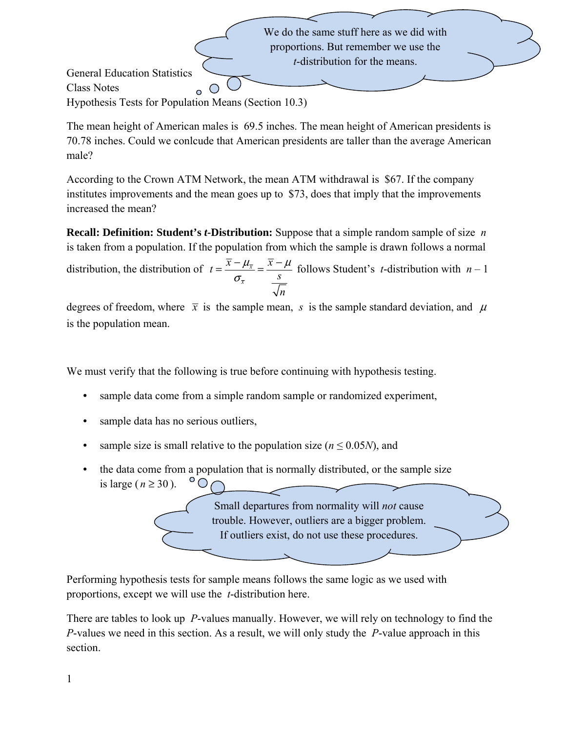We do the same stuff here as we did with proportions. But remember we use the *t*-distribution for the means.

General Education Statistics Class Notes Hypothesis Tests for Population Means (Section 10.3)

The mean height of American males is 69.5 inches. The mean height of American presidents is 70.78 inches. Could we conlcude that American presidents are taller than the average American male?

According to the Crown ATM Network, the mean ATM withdrawal is \$67. If the company institutes improvements and the mean goes up to \$73, does that imply that the improvements increased the mean?

**Recall: Definition: Student's** *t***-Distribution:** Suppose that a simple random sample of size *n* is taken from a population. If the population from which the sample is drawn follows a normal

distribution, the distribution of  $t = \frac{x - \mu_{\bar{x}}}{\sigma_{\bar{x}}}$ *x*  $t = \frac{\overline{x} - \mu_{\overline{x}}}{\sigma_{\overline{x}}} = \frac{\overline{x} - \mu_{\overline{x}}}{s}$ *n*  $\mu_{\overline{x}}$   $x - \mu$  $=\frac{\overline{x} - \mu_{\overline{x}}}{\sigma_{\overline{x}}} = \frac{\overline{x} - \mu}{s}$  follows Student's *t*-distribution with  $n-1$ 

degrees of freedom, where  $\bar{x}$  is the sample mean, *s* is the sample standard deviation, and  $\mu$ is the population mean.

We must verify that the following is true before continuing with hypothesis testing.

- sample data come from a simple random sample or randomized experiment,
- sample data has no serious outliers,
- sample size is small relative to the population size ( $n \le 0.05N$ ), and
- the data come from a population that is normally distributed, or the sample size  $^{\circ}$ O is large ( $n \ge 30$ ).

Small departures from normality will *not* cause trouble. However, outliers are a bigger problem. If outliers exist, do not use these procedures.

Performing hypothesis tests for sample means follows the same logic as we used with proportions, except we will use the *t*-distribution here.

There are tables to look up *P*-values manually. However, we will rely on technology to find the *P*-values we need in this section. As a result, we will only study the *P*-value approach in this section.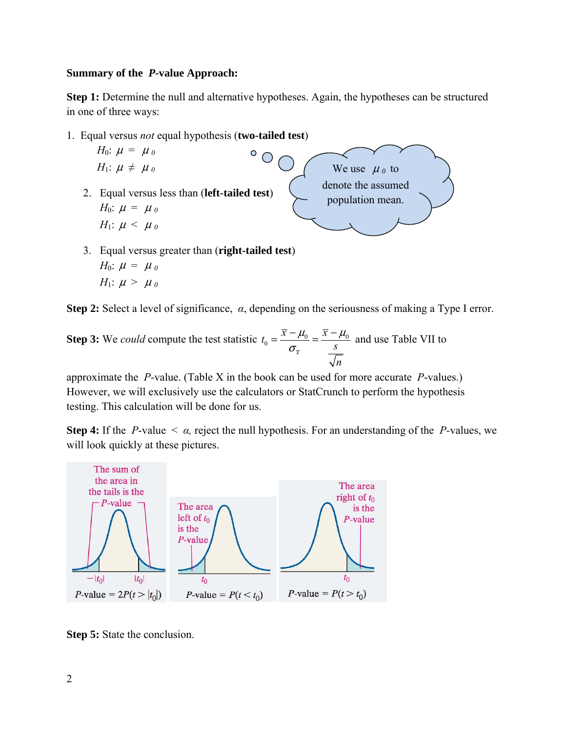#### **Summary of the** *P***-value Approach:**

**Step 1:** Determine the null and alternative hypotheses. Again, the hypotheses can be structured in one of three ways:

1. Equal versus *not* equal hypothesis (**two-tailed test**)



*H*<sub>0</sub>:  $\mu = \mu_0$ *H*<sub>1</sub>:  $\mu > \mu_0$ 

**Step 2:** Select a level of significance, *α*, depending on the seriousness of making a Type I error.

**Step 3:** We *could* compute the test statistic  $t_0 = \frac{x - \mu_0}{\sigma_0} = \frac{x - \mu_0}{\sigma_0}$ *x*  $t_0 = \frac{\overline{x} - \mu_0}{\sigma_{\overline{x}}} = \frac{\overline{x} - \mu_0}{s}$ *n*  $\mu_{0}$   $x - \mu_{0}$  $=\frac{\overline{x} - \mu_0}{\sigma_{\overline{x}}} = \frac{\overline{x} - \mu_0}{s}$  and use Table VII to

approximate the *P*-value. (Table X in the book can be used for more accurate *P*-values.) However, we will exclusively use the calculators or StatCrunch to perform the hypothesis testing. This calculation will be done for us.

**Step 4:** If the *P*-value < *α,* reject the null hypothesis. For an understanding of the *P-*values, we will look quickly at these pictures.



**Step 5:** State the conclusion.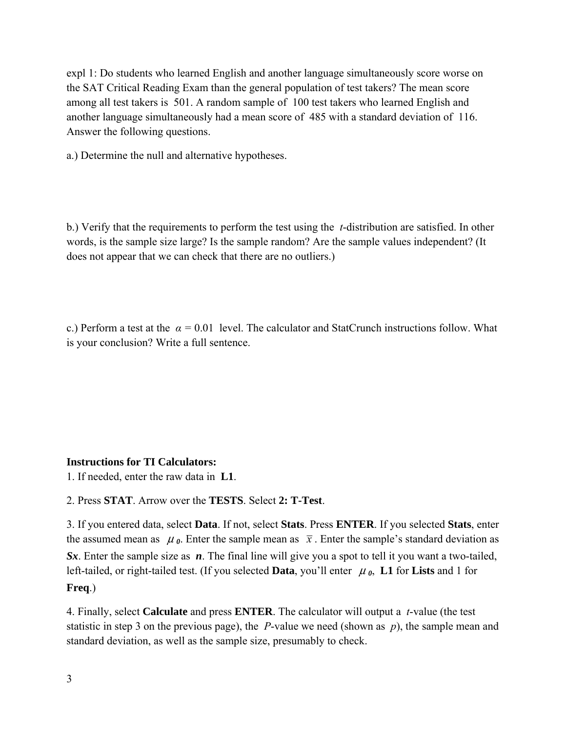expl 1: Do students who learned English and another language simultaneously score worse on the SAT Critical Reading Exam than the general population of test takers? The mean score among all test takers is 501. A random sample of 100 test takers who learned English and another language simultaneously had a mean score of 485 with a standard deviation of 116. Answer the following questions.

a.) Determine the null and alternative hypotheses.

b.) Verify that the requirements to perform the test using the *t*-distribution are satisfied. In other words, is the sample size large? Is the sample random? Are the sample values independent? (It does not appear that we can check that there are no outliers.)

c.) Perform a test at the *α =* 0.01 level. The calculator and StatCrunch instructions follow. What is your conclusion? Write a full sentence.

# **Instructions for TI Calculators:**

1. If needed, enter the raw data in **L1**.

2. Press **STAT**. Arrow over the **TESTS**. Select **2: T-Test**.

3. If you entered data, select **Data**. If not, select **Stats**. Press **ENTER**. If you selected **Stats**, enter the assumed mean as  $\mu_{\theta}$ . Enter the sample mean as  $\bar{x}$ . Enter the sample's standard deviation as *Sx*. Enter the sample size as *n*. The final line will give you a spot to tell it you want a two-tailed, left-tailed, or right-tailed test. (If you selected **Data**, you'll enter  $\mu_0$ , **L1** for **Lists** and 1 for **Freq**.)

4. Finally, select **Calculate** and press **ENTER**. The calculator will output a *t*-value (the test statistic in step 3 on the previous page), the *P*-value we need (shown as *p*), the sample mean and standard deviation, as well as the sample size, presumably to check.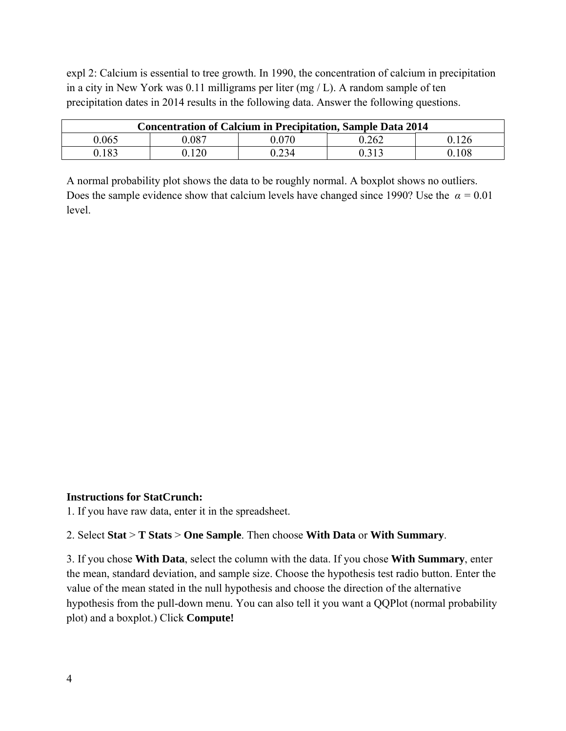expl 2: Calcium is essential to tree growth. In 1990, the concentration of calcium in precipitation in a city in New York was 0.11 milligrams per liter (mg / L). A random sample of ten precipitation dates in 2014 results in the following data. Answer the following questions.

| <b>Concentration of Calcium in Precipitation, Sample Data 2014</b> |       |       |       |       |
|--------------------------------------------------------------------|-------|-------|-------|-------|
| 0.065                                                              | 087.ر | 0.070 | 0.262 | 0.126 |
| 0.183                                                              | 120   | 0.234 | በ 313 | 0.108 |

A normal probability plot shows the data to be roughly normal. A boxplot shows no outliers. Does the sample evidence show that calcium levels have changed since 1990? Use the  $\alpha = 0.01$ level.

#### **Instructions for StatCrunch:**

1. If you have raw data, enter it in the spreadsheet.

### 2. Select **Stat** > **T Stats** > **One Sample**. Then choose **With Data** or **With Summary**.

3. If you chose **With Data**, select the column with the data. If you chose **With Summary**, enter the mean, standard deviation, and sample size. Choose the hypothesis test radio button. Enter the value of the mean stated in the null hypothesis and choose the direction of the alternative hypothesis from the pull-down menu. You can also tell it you want a QQPlot (normal probability plot) and a boxplot.) Click **Compute!**